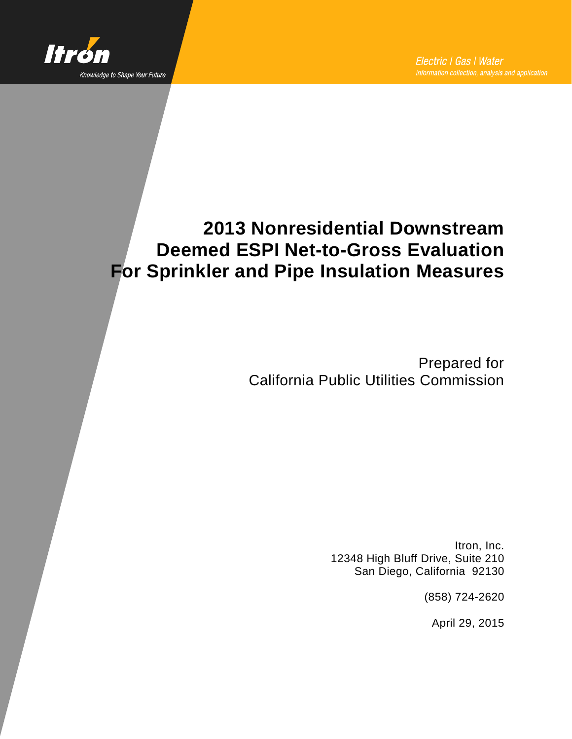

# **2013 Nonresidential Downstream Deemed ESPI Net-to-Gross Evaluation For Sprinkler and Pipe Insulation Measures**

Prepared for California Public Utilities Commission

> Itron, Inc. 12348 High Bluff Drive, Suite 210 San Diego, California 92130

> > (858) 724-2620

April 29, 2015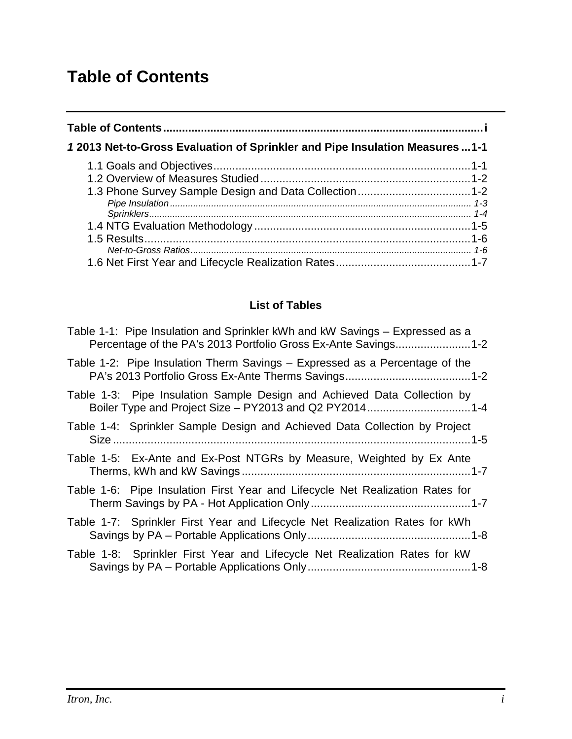# <span id="page-2-0"></span>**Table of Contents**

| 12013 Net-to-Gross Evaluation of Sprinkler and Pipe Insulation Measures  1-1 |  |  |  |  |  |
|------------------------------------------------------------------------------|--|--|--|--|--|
|                                                                              |  |  |  |  |  |
|                                                                              |  |  |  |  |  |
|                                                                              |  |  |  |  |  |
|                                                                              |  |  |  |  |  |
|                                                                              |  |  |  |  |  |
|                                                                              |  |  |  |  |  |
|                                                                              |  |  |  |  |  |

#### **List of Tables**

| Table 1-1: Pipe Insulation and Sprinkler kWh and kW Savings – Expressed as a<br>Percentage of the PA's 2013 Portfolio Gross Ex-Ante Savings1-2 |
|------------------------------------------------------------------------------------------------------------------------------------------------|
| Table 1-2: Pipe Insulation Therm Savings – Expressed as a Percentage of the                                                                    |
| Table 1-3: Pipe Insulation Sample Design and Achieved Data Collection by<br>Boiler Type and Project Size - PY2013 and Q2 PY20141-4             |
| Table 1-4: Sprinkler Sample Design and Achieved Data Collection by Project                                                                     |
| Table 1-5: Ex-Ante and Ex-Post NTGRs by Measure, Weighted by Ex Ante                                                                           |
| Table 1-6: Pipe Insulation First Year and Lifecycle Net Realization Rates for                                                                  |
| Table 1-7: Sprinkler First Year and Lifecycle Net Realization Rates for kWh                                                                    |
| Table 1-8: Sprinkler First Year and Lifecycle Net Realization Rates for kW                                                                     |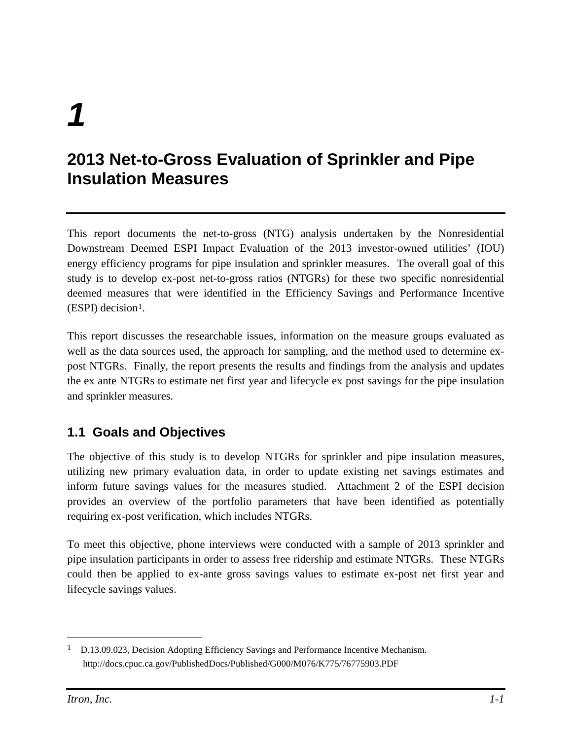# *1*

# <span id="page-4-0"></span>**2013 Net-to-Gross Evaluation of Sprinkler and Pipe Insulation Measures**

This report documents the net-to-gross (NTG) analysis undertaken by the Nonresidential Downstream Deemed ESPI Impact Evaluation of the 2013 investor-owned utilities' (IOU) energy efficiency programs for pipe insulation and sprinkler measures. The overall goal of this study is to develop ex-post net-to-gross ratios (NTGRs) for these two specific nonresidential deemed measures that were identified in the Efficiency Savings and Performance Incentive  $(ESPI)$  decision<sup>[1](#page-4-2)</sup>.

This report discusses the researchable issues, information on the measure groups evaluated as well as the data sources used, the approach for sampling, and the method used to determine expost NTGRs. Finally, the report presents the results and findings from the analysis and updates the ex ante NTGRs to estimate net first year and lifecycle ex post savings for the pipe insulation and sprinkler measures.

## <span id="page-4-1"></span>**1.1 Goals and Objectives**

The objective of this study is to develop NTGRs for sprinkler and pipe insulation measures, utilizing new primary evaluation data, in order to update existing net savings estimates and inform future savings values for the measures studied. Attachment 2 of the ESPI decision provides an overview of the portfolio parameters that have been identified as potentially requiring ex-post verification, which includes NTGRs.

To meet this objective, phone interviews were conducted with a sample of 2013 sprinkler and pipe insulation participants in order to assess free ridership and estimate NTGRs. These NTGRs could then be applied to ex-ante gross savings values to estimate ex-post net first year and lifecycle savings values.

<span id="page-4-2"></span><sup>&</sup>lt;sup>1</sup> D.13.09.023, Decision Adopting Efficiency Savings and Performance Incentive Mechanism. http://docs.cpuc.ca.gov/PublishedDocs/Published/G000/M076/K775/76775903.PDF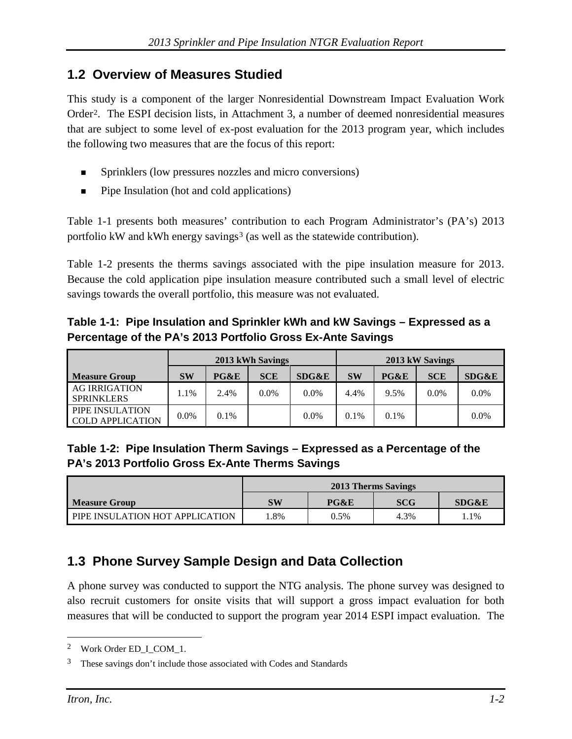#### <span id="page-5-0"></span>**1.2 Overview of Measures Studied**

This study is a component of the larger Nonresidential Downstream Impact Evaluation Work Order[2](#page-5-5). The ESPI decision lists, in Attachment 3, a number of deemed nonresidential measures that are subject to some level of ex-post evaluation for the 2013 program year, which includes the following two measures that are the focus of this report:

- Sprinklers (low pressures nozzles and micro conversions)
- Pipe Insulation (hot and cold applications)

[Table 1-1](#page-5-2) presents both measures' contribution to each Program Administrat[or's \(PA's\) 2013](#page-5-4)  portfolio kW and kWh energy savings<sup>[3](#page-5-6)</sup> (as well as the statewide contribution).

[Table 1-2](#page-5-4) presents the therms savings associated with the pipe insulation measure for 2013. Because the cold application pipe insulation measure contributed such a small level of electric savings towards the overall portfolio, this measure was not evaluated.

<span id="page-5-2"></span>**Table 1-1: Pipe Insulation and Sprinkler kWh and kW Savings – Expressed as a Percentage of the PA's 2013 Portfolio Gross Ex-Ante Savings**

|                                            | 2013 kWh Savings |      |            |                  | 2013 kW Savings |      |            |         |
|--------------------------------------------|------------------|------|------------|------------------|-----------------|------|------------|---------|
| <b>Measure Group</b>                       | <b>SW</b>        | PG&E | <b>SCE</b> | <b>SDG&amp;E</b> | <b>SW</b>       | PG&E | <b>SCE</b> | SDG&E   |
| <b>AG IRRIGATION</b><br><b>SPRINKLERS</b>  | $.1\%$           | 2.4% | $0.0\%$    | $0.0\%$          | 4.4%            | 9.5% | $0.0\%$    | $0.0\%$ |
| PIPE INSULATION<br><b>COLD APPLICATION</b> | $0.0\%$          | 0.1% |            | $0.0\%$          | $0.1\%$         | 0.1% |            | $0.0\%$ |

#### <span id="page-5-4"></span><span id="page-5-3"></span>**Table 1-2: Pipe Insulation Therm Savings – Expressed as a Percentage of the PA's 2013 Portfolio Gross Ex-Ante Therms Savings**

|                                 | 2013 Therms Savings |      |            |       |  |  |  |
|---------------------------------|---------------------|------|------------|-------|--|--|--|
| Measure Group                   | SW                  | PG&E | <b>SCG</b> | SDG&E |  |  |  |
| PIPE INSULATION HOT APPLICATION | .8%                 | 0.5% | 4.3%       | 1%    |  |  |  |

## <span id="page-5-1"></span>**1.3 Phone Survey Sample Design and Data Collection**

A phone survey was conducted to support the NTG analysis. The phone survey was designed to also recruit customers for onsite visits that will support a gross impact evaluation for both measures that will be conducted to support the program year 2014 ESPI impact evaluation. The

<span id="page-5-5"></span><sup>&</sup>lt;sup>2</sup> Work Order ED\_I\_COM\_1.

<span id="page-5-6"></span><sup>3</sup> These savings don't include those associated with Codes and Standards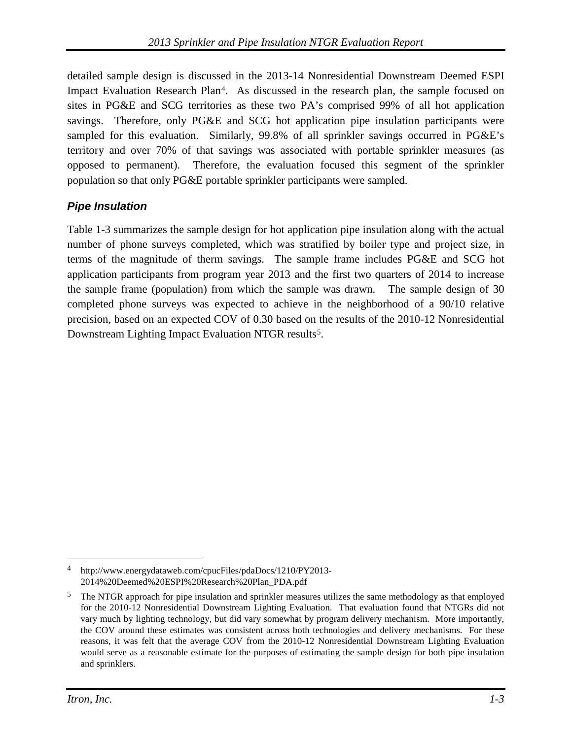detailed sample design is discussed in the 2013-14 Nonresidential Downstream Deemed ESPI Impact Evaluation Research Plan[4](#page-6-1). As discussed in the research plan, the sample focused on sites in PG&E and SCG territories as these two PA's comprised 99% of all hot application savings. Therefore, only PG&E and SCG hot application pipe insulation participants were sampled for this evaluation. Similarly, 99.8% of all sprinkler savings occurred in PG&E's territory and over 70% of that savings was associated with portable sprinkler measures (as opposed to permanent). Therefore, the evaluation focused this segment of the sprinkler population so that only PG&E portable sprinkler participants were sampled.

#### <span id="page-6-0"></span>*Pipe Insulation*

[Table 1-3](#page-7-1) summarizes the sample design for hot application pipe insulation along with the actual number of phone surveys completed, which was stratified by boiler type and project size, in terms of the magnitude of therm savings. The sample frame includes PG&E and SCG hot application participants from program year 2013 and the first two quarters of 2014 to increase the sample frame (population) from which the sample was drawn. The sample design of 30 completed phone surveys was expected to achieve in the neighborhood of a 90/10 relative precision, based on an expected COV of 0.30 based on the results of the 2010-12 Nonresidential Downstream Lighting Impact Evaluation NTGR results<sup>5</sup>.

<span id="page-6-1"></span><sup>4</sup> http://www.energydataweb.com/cpucFiles/pdaDocs/1210/PY2013- 2014%20Deemed%20ESPI%20Research%20Plan\_PDA.pdf

<span id="page-6-2"></span><sup>&</sup>lt;sup>5</sup> The NTGR approach for pipe insulation and sprinkler measures utilizes the same methodology as that employed for the 2010-12 Nonresidential Downstream Lighting Evaluation. That evaluation found that NTGRs did not vary much by lighting technology, but did vary somewhat by program delivery mechanism. More importantly, the COV around these estimates was consistent across both technologies and delivery mechanisms. For these reasons, it was felt that the average COV from the 2010-12 Nonresidential Downstream Lighting Evaluation would serve as a reasonable estimate for the purposes of estimating the sample design for both pipe insulation and sprinklers.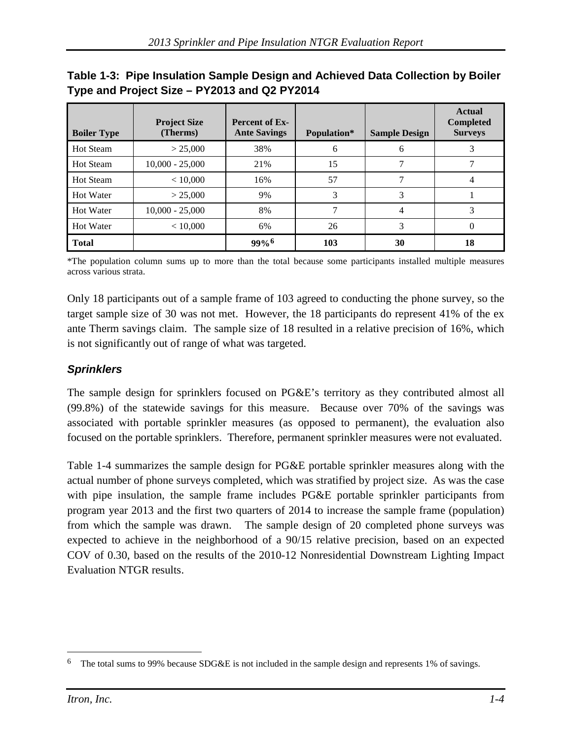| <b>Boiler Type</b> | <b>Project Size</b><br>(Therms) | <b>Percent of Ex-</b><br><b>Ante Savings</b> | Population* | <b>Sample Design</b> | <b>Actual</b><br><b>Completed</b><br><b>Surveys</b> |
|--------------------|---------------------------------|----------------------------------------------|-------------|----------------------|-----------------------------------------------------|
| <b>Hot Steam</b>   | > 25,000                        | 38%                                          | 6           | 6                    |                                                     |
| <b>Hot Steam</b>   | $10,000 - 25,000$               | 21%                                          | 15          |                      |                                                     |
| <b>Hot Steam</b>   | < 10,000                        | 16%                                          | 57          |                      |                                                     |
| Hot Water          | > 25,000                        | 9%                                           | 3           | 3                    |                                                     |
| Hot Water          | $10,000 - 25,000$               | 8%                                           |             | 4                    |                                                     |
| <b>Hot Water</b>   | < 10,000                        | 6%                                           | 26          | 3                    | O                                                   |
| <b>Total</b>       |                                 | $99%$ <sup>6</sup>                           | 103         | 30                   | 18                                                  |

#### <span id="page-7-1"></span>**Table 1-3: Pipe Insulation Sample Design and Achieved Data Collection by Boiler Type and Project Size – PY2013 and Q2 PY2014**

\*The population column sums up to more than the total because some participants installed multiple measures across various strata.

Only 18 participants out of a sample frame of 103 agreed to conducting the phone survey, so the target sample size of 30 was not met. However, the 18 participants do represent 41% of the ex ante Therm savings claim. The sample size of 18 resulted in a relative precision of 16%, which is not significantly out of range of what was targeted.

#### <span id="page-7-0"></span>*Sprinklers*

The sample design for sprinklers focused on PG&E's territory as they contributed almost all (99.8%) of the statewide savings for this measure. Because over 70% of the savings was associated with portable sprinkler measures (as opposed to permanent), the evaluation also focused on the portable sprinklers. Therefore, permanent sprinkler measures were not evaluated.

[Table 1-4](#page-8-1) summarizes the sample design for PG&E portable sprinkler measures along with the actual number of phone surveys completed, which was stratified by project size. As was the case with pipe insulation, the sample frame includes PG&E portable sprinkler participants from program year 2013 and the first two quarters of 2014 to increase the sample frame (population) from which the sample was drawn. The sample design of 20 completed phone surveys was expected to achieve in the neighborhood of a 90/15 relative precision, based on an expected COV of 0.30, based on the results of the 2010-12 Nonresidential Downstream Lighting Impact Evaluation NTGR results.

<span id="page-7-2"></span><sup>&</sup>lt;sup>6</sup> The total sums to 99% because SDG&E is not included in the sample design and represents 1% of savings.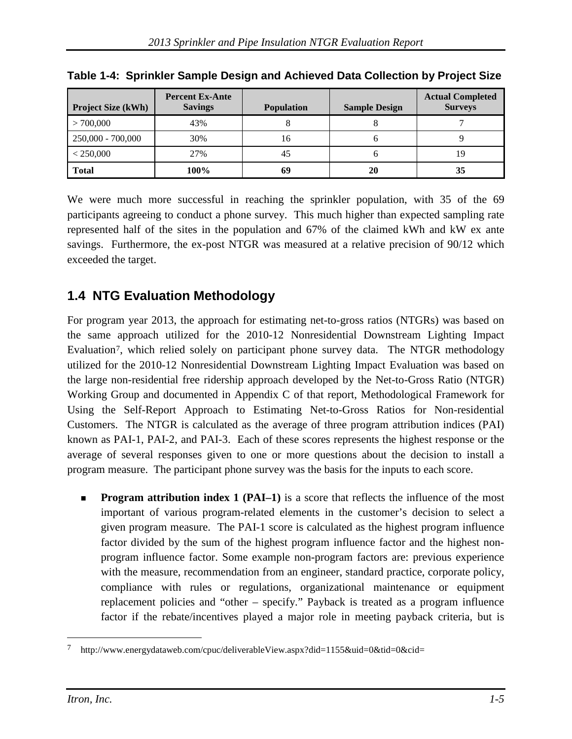| <b>Project Size (kWh)</b> | <b>Percent Ex-Ante</b><br><b>Savings</b> | <b>Population</b> | <b>Sample Design</b> | <b>Actual Completed</b><br><b>Surveys</b> |
|---------------------------|------------------------------------------|-------------------|----------------------|-------------------------------------------|
| >700,000                  | 43%                                      |                   |                      |                                           |
| $250,000 - 700,000$       | 30%                                      | 16                |                      |                                           |
| < 250,000                 | 27%                                      | 45                |                      | 19                                        |
| <b>Total</b>              | 100%                                     | 69                | 20                   | 35                                        |

<span id="page-8-1"></span>**Table 1-4: Sprinkler Sample Design and Achieved Data Collection by Project Size**

We were much more successful in reaching the sprinkler population, with 35 of the 69 participants agreeing to conduct a phone survey. This much higher than expected sampling rate represented half of the sites in the population and 67% of the claimed kWh and kW ex ante savings. Furthermore, the ex-post NTGR was measured at a relative precision of 90/12 which exceeded the target.

# <span id="page-8-0"></span>**1.4 NTG Evaluation Methodology**

For program year 2013, the approach for estimating net-to-gross ratios (NTGRs) was based on the same approach utilized for the 2010-12 Nonresidential Downstream Lighting Impact Evaluation<sup>[7](#page-8-2)</sup>, which relied solely on participant phone survey data. The NTGR methodology utilized for the 2010-12 Nonresidential Downstream Lighting Impact Evaluation was based on the large non-residential free ridership approach developed by the Net-to-Gross Ratio (NTGR) Working Group and documented in Appendix C of that report, Methodological Framework for Using the Self-Report Approach to Estimating Net-to-Gross Ratios for Non-residential Customers. The NTGR is calculated as the average of three program attribution indices (PAI) known as PAI-1, PAI-2, and PAI-3. Each of these scores represents the highest response or the average of several responses given to one or more questions about the decision to install a program measure. The participant phone survey was the basis for the inputs to each score.

**Program attribution index 1 (PAI–1)** is a score that reflects the influence of the most important of various program-related elements in the customer's decision to select a given program measure. The PAI-1 score is calculated as the highest program influence factor divided by the sum of the highest program influence factor and the highest nonprogram influence factor. Some example non-program factors are: previous experience with the measure, recommendation from an engineer, standard practice, corporate policy, compliance with rules or regulations, organizational maintenance or equipment replacement policies and "other – specify." Payback is treated as a program influence factor if the rebate/incentives played a major role in meeting payback criteria, but is

<span id="page-8-2"></span><sup>7</sup> http://www.energydataweb.com/cpuc/deliverableView.aspx?did=1155&uid=0&tid=0&cid=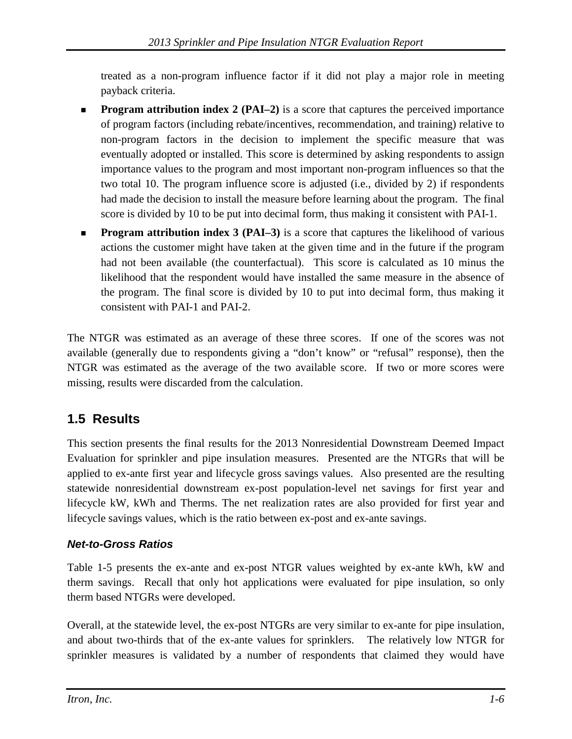treated as a non-program influence factor if it did not play a major role in meeting payback criteria.

- **Program attribution index 2 (PAI–2)** is a score that captures the perceived importance of program factors (including rebate/incentives, recommendation, and training) relative to non-program factors in the decision to implement the specific measure that was eventually adopted or installed. This score is determined by asking respondents to assign importance values to the program and most important non-program influences so that the two total 10. The program influence score is adjusted (i.e., divided by 2) if respondents had made the decision to install the measure before learning about the program. The final score is divided by 10 to be put into decimal form, thus making it consistent with PAI-1.
- **Program attribution index 3 (PAI–3)** is a score that captures the likelihood of various actions the customer might have taken at the given time and in the future if the program had not been available (the counterfactual). This score is calculated as 10 minus the likelihood that the respondent would have installed the same measure in the absence of the program. The final score is divided by 10 to put into decimal form, thus making it consistent with PAI-1 and PAI-2.

The NTGR was estimated as an average of these three scores. If one of the scores was not available (generally due to respondents giving a "don't know" or "refusal" response), then the NTGR was estimated as the average of the two available score. If two or more scores were missing, results were discarded from the calculation.

## <span id="page-9-0"></span>**1.5 Results**

This section presents the final results for the 2013 Nonresidential Downstream Deemed Impact Evaluation for sprinkler and pipe insulation measures. Presented are the NTGRs that will be applied to ex-ante first year and lifecycle gross savings values. Also presented are the resulting statewide nonresidential downstream ex-post population-level net savings for first year and lifecycle kW, kWh and Therms. The net realization rates are also provided for first year and lifecycle savings values, which is the ratio between ex-post and ex-ante savings.

#### <span id="page-9-1"></span>*Net-to-Gross Ratios*

[Table 1-5](#page-10-1) presents the ex-ante and ex-post NTGR values weighted by ex-ante kWh, kW and therm savings. Recall that only hot applications were evaluated for pipe insulation, so only therm based NTGRs were developed.

Overall, at the statewide level, the ex-post NTGRs are very similar to ex-ante for pipe insulation, and about two-thirds that of the ex-ante values for sprinklers. The relatively low NTGR for sprinkler measures is validated by a number of respondents that claimed they would have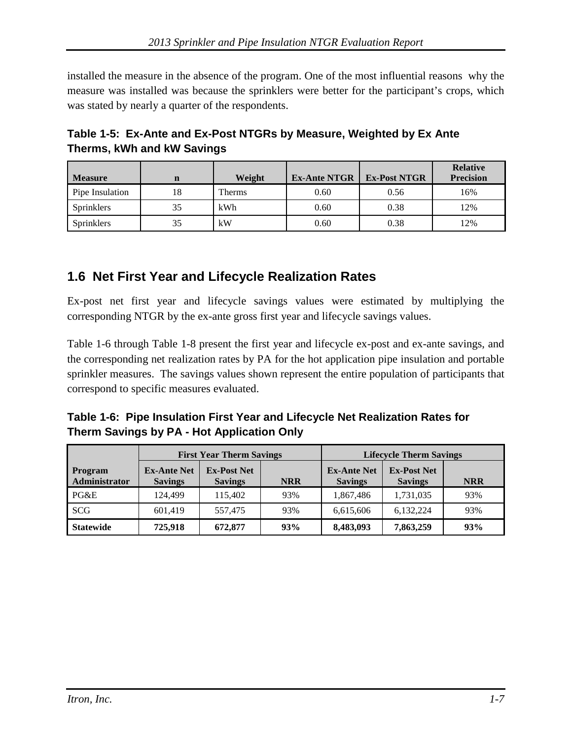installed the measure in the absence of the program. One of the most influential reasons why the measure was installed was because the sprinklers were better for the participant's crops, which was stated by nearly a quarter of the respondents.

<span id="page-10-1"></span>

| Table 1-5: Ex-Ante and Ex-Post NTGRs by Measure, Weighted by Ex Ante |  |
|----------------------------------------------------------------------|--|
| Therms, kWh and kW Savings                                           |  |

| <b>Measure</b>    |    | Weight | <b>Ex-Ante NTGR</b> | <b>Ex-Post NTGR</b> | <b>Relative</b><br><b>Precision</b> |
|-------------------|----|--------|---------------------|---------------------|-------------------------------------|
|                   | n  |        |                     |                     |                                     |
| Pipe Insulation   | 18 | Therms | 0.60                | 0.56                | 16%                                 |
| Sprinklers        | 35 | kWh    | 0.60                | 0.38                | 12%                                 |
| <b>Sprinklers</b> | 35 | kW     | 0.60                | 0.38                | 12%                                 |

### <span id="page-10-0"></span>**1.6 Net First Year and Lifecycle Realization Rates**

Ex-post net first year and lifecycle savings values were estimated by multiplying the corresponding NTGR by the ex-ante gross first year and lifecycle savings values.

[Table 1-6](#page-10-2) through [Table 1-8](#page-11-1) present the first year and lifecycle ex-post and ex-ante savings, and the corresponding net realization rates by PA for the hot application pipe insulation and portable sprinkler measures. The savings values shown represent the entire population of participants that correspond to specific measures evaluated.

<span id="page-10-2"></span>**Table 1-6: Pipe Insulation First Year and Lifecycle Net Realization Rates for Therm Savings by PA - Hot Application Only**

|                                 | <b>First Year Therm Savings</b>      |                                      |            | <b>Lifecycle Therm Savings</b>       |                                      |            |  |
|---------------------------------|--------------------------------------|--------------------------------------|------------|--------------------------------------|--------------------------------------|------------|--|
| <b>Program</b><br>Administrator | <b>Ex-Ante Net</b><br><b>Savings</b> | <b>Ex-Post Net</b><br><b>Savings</b> | <b>NRR</b> | <b>Ex-Ante Net</b><br><b>Savings</b> | <b>Ex-Post Net</b><br><b>Savings</b> | <b>NRR</b> |  |
| PG&E                            | 124.499                              | 115,402                              | 93%        | 1,867,486                            | 1,731,035                            | 93%        |  |
| SCG                             | 601.419                              | 557.475                              | 93%        | 6,615,606                            | 6,132,224                            | 93%        |  |
| <b>Statewide</b>                | 725,918                              | 672,877                              | 93%        | 8,483,093                            | 7,863,259                            | 93%        |  |